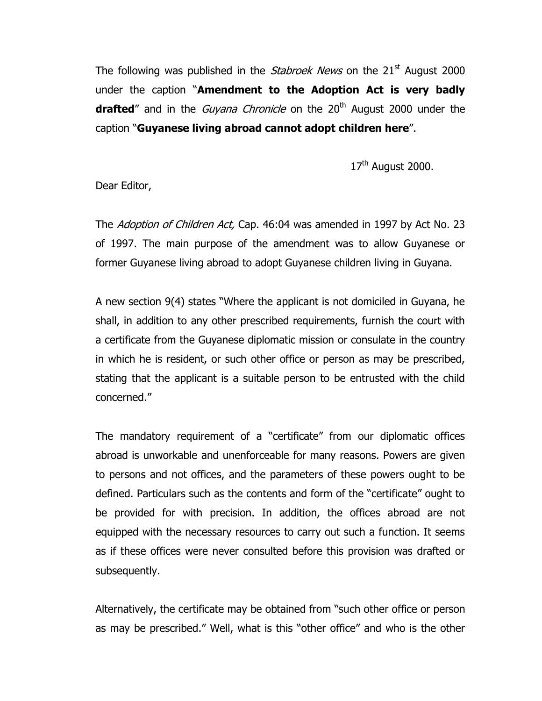The following was published in the *Stabroek News* on the  $21<sup>st</sup>$  August 2000 under the caption "**Amendment to the Adoption Act is very badly drafted**" and in the *Guyana Chronicle* on the 20<sup>th</sup> August 2000 under the caption "**Guyanese living abroad cannot adopt children here**".

 $17<sup>th</sup>$  August 2000.

Dear Editor,

The *Adoption of Children Act*, Cap. 46:04 was amended in 1997 by Act No. 23 of 1997. The main purpose of the amendment was to allow Guyanese or former Guyanese living abroad to adopt Guyanese children living in Guyana.

A new section 9(4) states "Where the applicant is not domiciled in Guyana, he shall, in addition to any other prescribed requirements, furnish the court with a certificate from the Guyanese diplomatic mission or consulate in the country in which he is resident, or such other office or person as may be prescribed, stating that the applicant is a suitable person to be entrusted with the child concerned."

The mandatory requirement of a "certificate" from our diplomatic offices abroad is unworkable and unenforceable for many reasons. Powers are given to persons and not offices, and the parameters of these powers ought to be defined. Particulars such as the contents and form of the "certificate" ought to be provided for with precision. In addition, the offices abroad are not equipped with the necessary resources to carry out such a function. It seems as if these offices were never consulted before this provision was drafted or subsequently.

Alternatively, the certificate may be obtained from "such other office or person as may be prescribed." Well, what is this "other office" and who is the other